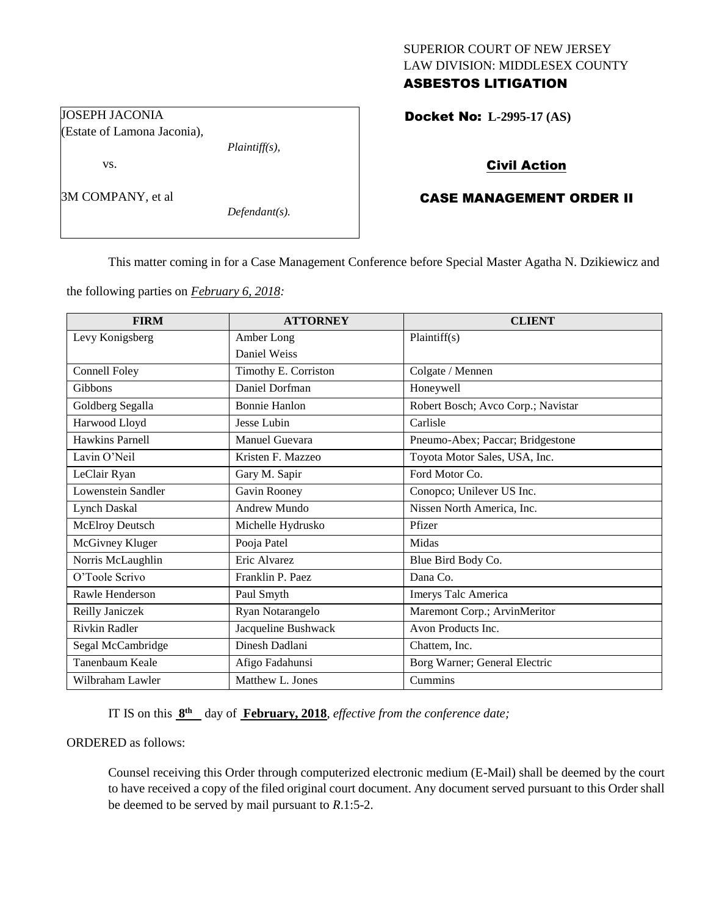## SUPERIOR COURT OF NEW JERSEY LAW DIVISION: MIDDLESEX COUNTY ASBESTOS LITIGATION

Docket No: **L-2995-17 (AS)** 

## Civil Action

# CASE MANAGEMENT ORDER II

This matter coming in for a Case Management Conference before Special Master Agatha N. Dzikiewicz and

the following parties on *February 6, 2018:*

*Plaintiff(s),*

*Defendant(s).*

JOSEPH JACONIA

vs.

3M COMPANY, et al

(Estate of Lamona Jaconia),

| <b>FIRM</b>          | <b>ATTORNEY</b>      | <b>CLIENT</b>                      |
|----------------------|----------------------|------------------------------------|
| Levy Konigsberg      | Amber Long           | Plaintiff(s)                       |
|                      | Daniel Weiss         |                                    |
| <b>Connell Foley</b> | Timothy E. Corriston | Colgate / Mennen                   |
| Gibbons              | Daniel Dorfman       | Honeywell                          |
| Goldberg Segalla     | <b>Bonnie Hanlon</b> | Robert Bosch; Avco Corp.; Navistar |
| Harwood Lloyd        | Jesse Lubin          | Carlisle                           |
| Hawkins Parnell      | Manuel Guevara       | Pneumo-Abex; Paccar; Bridgestone   |
| Lavin O'Neil         | Kristen F. Mazzeo    | Toyota Motor Sales, USA, Inc.      |
| LeClair Ryan         | Gary M. Sapir        | Ford Motor Co.                     |
| Lowenstein Sandler   | Gavin Rooney         | Conopco; Unilever US Inc.          |
| <b>Lynch Daskal</b>  | Andrew Mundo         | Nissen North America, Inc.         |
| McElroy Deutsch      | Michelle Hydrusko    | Pfizer                             |
| McGivney Kluger      | Pooja Patel          | Midas                              |
| Norris McLaughlin    | Eric Alvarez         | Blue Bird Body Co.                 |
| O'Toole Scrivo       | Franklin P. Paez     | Dana Co.                           |
| Rawle Henderson      | Paul Smyth           | Imerys Talc America                |
| Reilly Janiczek      | Ryan Notarangelo     | Maremont Corp.; ArvinMeritor       |
| <b>Rivkin Radler</b> | Jacqueline Bushwack  | Avon Products Inc.                 |
| Segal McCambridge    | Dinesh Dadlani       | Chattem, Inc.                      |
| Tanenbaum Keale      | Afigo Fadahunsi      | Borg Warner; General Electric      |
| Wilbraham Lawler     | Matthew L. Jones     | Cummins                            |

IT IS on this  $8^{\text{th}}$  day of **February, 2018**, *effective from the conference date*;

ORDERED as follows:

Counsel receiving this Order through computerized electronic medium (E-Mail) shall be deemed by the court to have received a copy of the filed original court document. Any document served pursuant to this Order shall be deemed to be served by mail pursuant to *R*.1:5-2.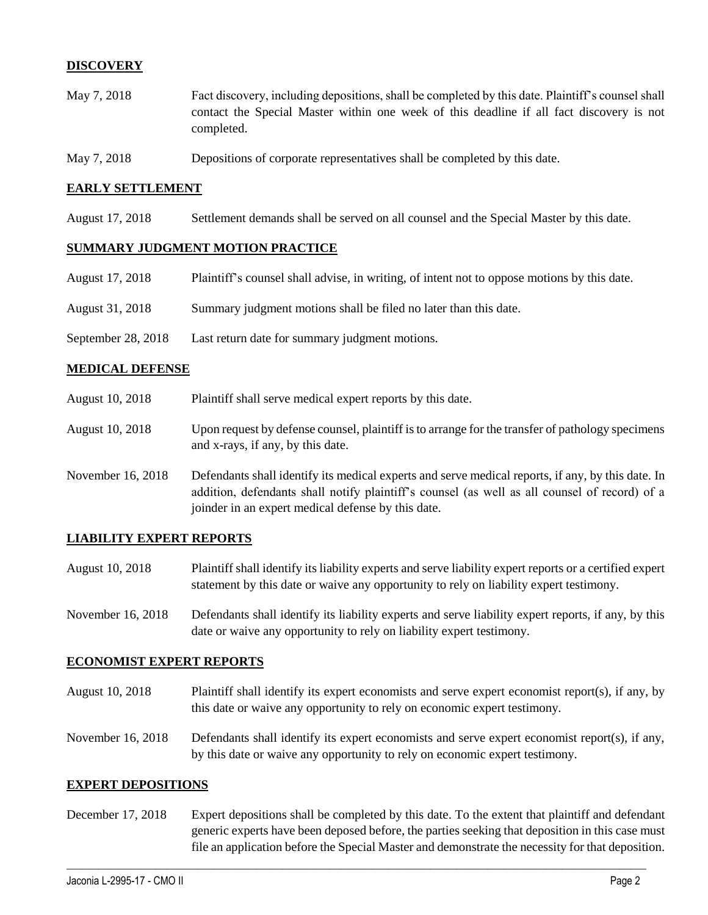## **DISCOVERY**

- May 7, 2018 Fact discovery, including depositions, shall be completed by this date. Plaintiff's counsel shall contact the Special Master within one week of this deadline if all fact discovery is not completed.
- May 7, 2018 Depositions of corporate representatives shall be completed by this date.

#### **EARLY SETTLEMENT**

August 17, 2018 Settlement demands shall be served on all counsel and the Special Master by this date.

#### **SUMMARY JUDGMENT MOTION PRACTICE**

| August 17, 2018    | Plaintiff's counsel shall advise, in writing, of intent not to oppose motions by this date. |
|--------------------|---------------------------------------------------------------------------------------------|
| August 31, 2018    | Summary judgment motions shall be filed no later than this date.                            |
| September 28, 2018 | Last return date for summary judgment motions.                                              |

#### **MEDICAL DEFENSE**

- August 10, 2018 Plaintiff shall serve medical expert reports by this date.
- August 10, 2018 Upon request by defense counsel, plaintiff is to arrange for the transfer of pathology specimens and x-rays, if any, by this date.
- November 16, 2018 Defendants shall identify its medical experts and serve medical reports, if any, by this date. In addition, defendants shall notify plaintiff's counsel (as well as all counsel of record) of a joinder in an expert medical defense by this date.

### **LIABILITY EXPERT REPORTS**

- August 10, 2018 Plaintiff shall identify its liability experts and serve liability expert reports or a certified expert statement by this date or waive any opportunity to rely on liability expert testimony.
- November 16, 2018 Defendants shall identify its liability experts and serve liability expert reports, if any, by this date or waive any opportunity to rely on liability expert testimony.

### **ECONOMIST EXPERT REPORTS**

- August 10, 2018 Plaintiff shall identify its expert economists and serve expert economist report(s), if any, by this date or waive any opportunity to rely on economic expert testimony.
- November 16, 2018 Defendants shall identify its expert economists and serve expert economist report(s), if any, by this date or waive any opportunity to rely on economic expert testimony.

#### **EXPERT DEPOSITIONS**

December 17, 2018 Expert depositions shall be completed by this date. To the extent that plaintiff and defendant generic experts have been deposed before, the parties seeking that deposition in this case must file an application before the Special Master and demonstrate the necessity for that deposition.

 $\_$  ,  $\_$  ,  $\_$  ,  $\_$  ,  $\_$  ,  $\_$  ,  $\_$  ,  $\_$  ,  $\_$  ,  $\_$  ,  $\_$  ,  $\_$  ,  $\_$  ,  $\_$  ,  $\_$  ,  $\_$  ,  $\_$  ,  $\_$  ,  $\_$  ,  $\_$  ,  $\_$  ,  $\_$  ,  $\_$  ,  $\_$  ,  $\_$  ,  $\_$  ,  $\_$  ,  $\_$  ,  $\_$  ,  $\_$  ,  $\_$  ,  $\_$  ,  $\_$  ,  $\_$  ,  $\_$  ,  $\_$  ,  $\_$  ,